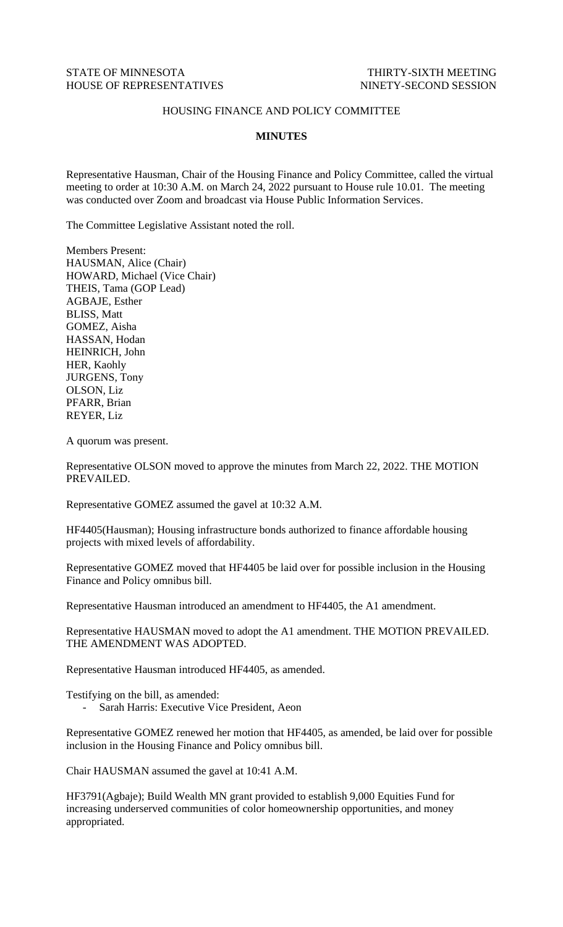## STATE OF MINNESOTA THIRTY-SIXTH MEETING HOUSE OF REPRESENTATIVES NINETY-SECOND SESSION

## HOUSING FINANCE AND POLICY COMMITTEE

## **MINUTES**

Representative Hausman, Chair of the Housing Finance and Policy Committee, called the virtual meeting to order at 10:30 A.M. on March 24, 2022 pursuant to House rule 10.01. The meeting was conducted over Zoom and broadcast via House Public Information Services.

The Committee Legislative Assistant noted the roll.

Members Present: HAUSMAN, Alice (Chair) HOWARD, Michael (Vice Chair) THEIS, Tama (GOP Lead) AGBAJE, Esther BLISS, Matt GOMEZ, Aisha HASSAN, Hodan HEINRICH, John HER, Kaohly JURGENS, Tony OLSON, Liz PFARR, Brian REYER, Liz

A quorum was present.

Representative OLSON moved to approve the minutes from March 22, 2022. THE MOTION PREVAILED.

Representative GOMEZ assumed the gavel at 10:32 A.M.

HF4405(Hausman); Housing infrastructure bonds authorized to finance affordable housing projects with mixed levels of affordability.

Representative GOMEZ moved that HF4405 be laid over for possible inclusion in the Housing Finance and Policy omnibus bill.

Representative Hausman introduced an amendment to HF4405, the A1 amendment.

Representative HAUSMAN moved to adopt the A1 amendment. THE MOTION PREVAILED. THE AMENDMENT WAS ADOPTED.

Representative Hausman introduced HF4405, as amended.

Testifying on the bill, as amended:

- Sarah Harris: Executive Vice President, Aeon

Representative GOMEZ renewed her motion that HF4405, as amended, be laid over for possible inclusion in the Housing Finance and Policy omnibus bill.

Chair HAUSMAN assumed the gavel at 10:41 A.M.

HF3791(Agbaje); Build Wealth MN grant provided to establish 9,000 Equities Fund for increasing underserved communities of color homeownership opportunities, and money appropriated.